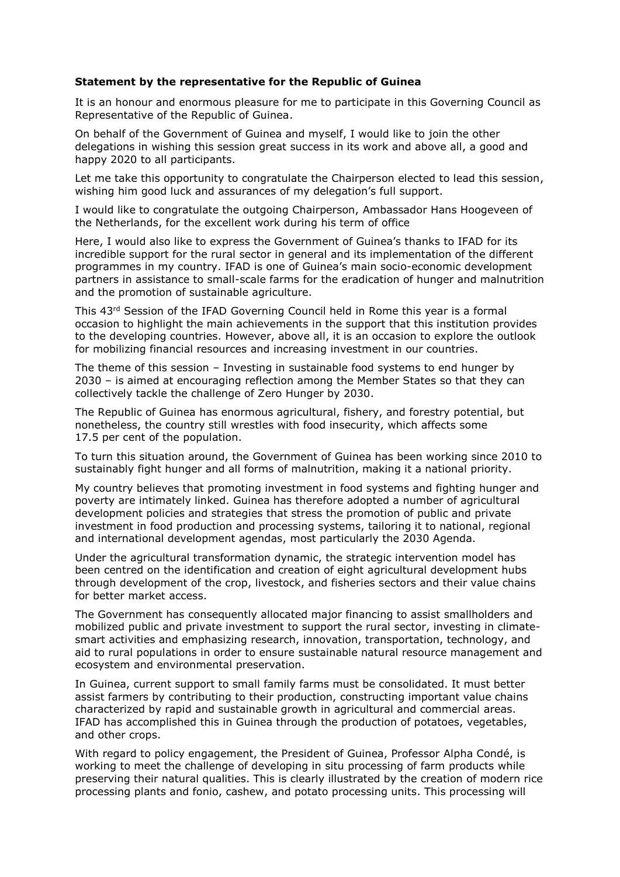## **Statement by the representative for the Republic of Guinea**

It is an honour and enormous pleasure for me to participate in this Governing Council as Representative of the Republic of Guinea.

On behalf of the Government of Guinea and myself, I would like to join the other delegations in wishing this session great success in its work and above all, a good and happy 2020 to all participants.

Let me take this opportunity to congratulate the Chairperson elected to lead this session, wishing him good luck and assurances of my delegation's full support.

I would like to congratulate the outgoing Chairperson, Ambassador Hans Hoogeveen of the Netherlands, for the excellent work during his term of office

Here, I would also like to express the Government of Guinea's thanks to IFAD for its incredible support for the rural sector in general and its implementation of the different programmes in my country. IFAD is one of Guinea's main socio-economic development partners in assistance to small-scale farms for the eradication of hunger and malnutrition and the promotion of sustainable agriculture.

This 43rd Session of the IFAD Governing Council held in Rome this year is a formal occasion to highlight the main achievements in the support that this institution provides to the developing countries. However, above all, it is an occasion to explore the outlook for mobilizing financial resources and increasing investment in our countries.

The theme of this session – Investing in sustainable food systems to end hunger by 2030 – is aimed at encouraging reflection among the Member States so that they can collectively tackle the challenge of Zero Hunger by 2030.

The Republic of Guinea has enormous agricultural, fishery, and forestry potential, but nonetheless, the country still wrestles with food insecurity, which affects some 17.5 per cent of the population.

To turn this situation around, the Government of Guinea has been working since 2010 to sustainably fight hunger and all forms of malnutrition, making it a national priority.

My country believes that promoting investment in food systems and fighting hunger and poverty are intimately linked. Guinea has therefore adopted a number of agricultural development policies and strategies that stress the promotion of public and private investment in food production and processing systems, tailoring it to national, regional and international development agendas, most particularly the 2030 Agenda.

Under the agricultural transformation dynamic, the strategic intervention model has been centred on the identification and creation of eight agricultural development hubs through development of the crop, livestock, and fisheries sectors and their value chains for better market access.

The Government has consequently allocated major financing to assist smallholders and mobilized public and private investment to support the rural sector, investing in climatesmart activities and emphasizing research, innovation, transportation, technology, and aid to rural populations in order to ensure sustainable natural resource management and ecosystem and environmental preservation.

In Guinea, current support to small family farms must be consolidated. It must better assist farmers by contributing to their production, constructing important value chains characterized by rapid and sustainable growth in agricultural and commercial areas. IFAD has accomplished this in Guinea through the production of potatoes, vegetables, and other crops.

With regard to policy engagement, the President of Guinea, Professor Alpha Condé, is working to meet the challenge of developing in situ processing of farm products while preserving their natural qualities. This is clearly illustrated by the creation of modern rice processing plants and fonio, cashew, and potato processing units. This processing will